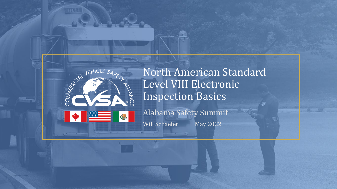



North American Standard Level VIII Electronic Inspection Basics

Alabama Safety Summit Will Schaefer May 2022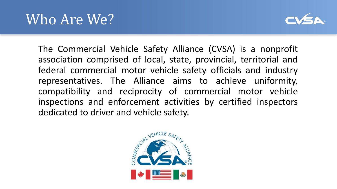

The Commercial Vehicle Safety Alliance (CVSA) is a nonprofit association comprised of local, state, provincial, territorial and federal commercial motor vehicle safety officials and industry representatives. The Alliance aims to achieve uniformity, compatibility and reciprocity of commercial motor vehicle inspections and enforcement activities by certified inspectors dedicated to driver and vehicle safety.

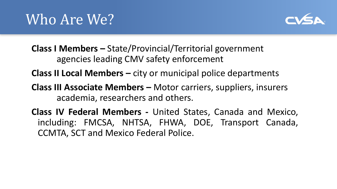

**Class I Members –** State/Provincial/Territorial government agencies leading CMV safety enforcement

**Class II Local Members –** city or municipal police departments

- **Class III Associate Members –** Motor carriers, suppliers, insurers academia, researchers and others.
- **Class IV Federal Members -** United States, Canada and Mexico, including: FMCSA, NHTSA, FHWA, DOE, Transport Canada, CCMTA, SCT and Mexico Federal Police.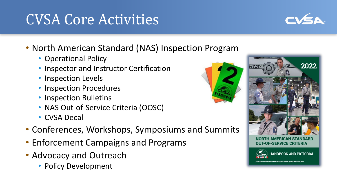## CVSA Core Activities

- North American Standard (NAS) Inspection Program
	- Operational Policy
	- Inspector and Instructor Certification
	- Inspection Levels
	- Inspection Procedures
	- Inspection Bulletins
	- NAS Out-of-Service Criteria (OOSC)
	- CVSA Decal
- Conferences, Workshops, Symposiums and Summits
- Enforcement Campaigns and Programs
- Advocacy and Outreach
	- Policy Development



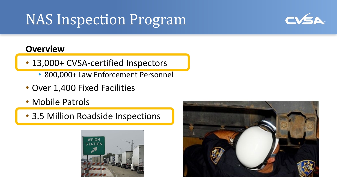#### NAS Inspection Program



#### **Overview**

- 13,000+ CVSA-certified Inspectors
	- 800,000+ Law Enforcement Personnel
- Over 1,400 Fixed Facilities
- Mobile Patrols
- 3.5 Million Roadside Inspections



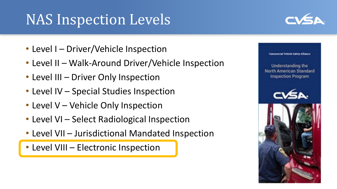## NAS Inspection Levels

- Level I Driver/Vehicle Inspection
- Level II Walk-Around Driver/Vehicle Inspection
- Level III Driver Only Inspection
- Level IV Special Studies Inspection
- Level V Vehicle Only Inspection
- Level VI Select Radiological Inspection
- Level VII Jurisdictional Mandated Inspection
- Level VIII Electronic Inspection





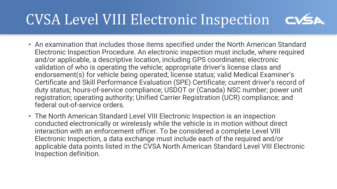#### CVSA Level VIII Electronic Inspection

- An examination that includes those items specified under the North American Standard Electronic Inspection Procedure. An electronic inspection must include, where required and/or applicable, a descriptive location, including GPS coordinates; electronic validation of who is operating the vehicle; appropriate driver's license class and endorsement(s) for vehicle being operated; license status; valid Medical Examiner's Certificate and Skill Performance Evaluation (SPE) Certificate; current driver's record of duty status; hours-of-service compliance; USDOT or (Canada) NSC number; power unit registration; operating authority; Unified Carrier Registration (UCR) compliance; and federal out-of-service orders.
- The North American Standard Level VIII Electronic Inspection is an inspection conducted electronically or wirelessly while the vehicle is in motion without direct interaction with an enforcement officer. To be considered a complete Level VIII Electronic Inspection, a data exchange must include each of the required and/or applicable data points listed in the CVSA North American Standard Level VIII Electronic Inspection definition.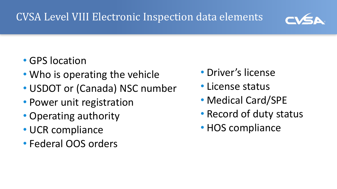#### CVSA Level VIII Electronic Inspection data elements



#### • GPS location

- Who is operating the vehicle
- USDOT or (Canada) NSC number
- Power unit registration
- Operating authority
- UCR compliance
- Federal OOS orders
- Driver's license
- License status
- Medical Card/SPE
- Record of duty status
- HOS compliance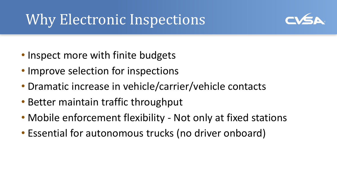## Why Electronic Inspections



- Inspect more with finite budgets
- Improve selection for inspections
- Dramatic increase in vehicle/carrier/vehicle contacts
- Better maintain traffic throughput
- Mobile enforcement flexibility Not only at fixed stations
- Essential for autonomous trucks (no driver onboard)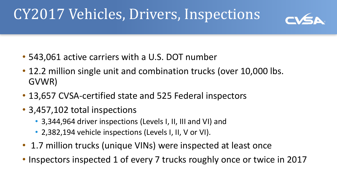#### CY2017 Vehicles, Drivers, Inspections



- 543,061 active carriers with a U.S. DOT number
- 12.2 million single unit and combination trucks (over 10,000 lbs. GVWR)
- 13,657 CVSA-certified state and 525 Federal inspectors
- 3,457,102 total inspections
	- 3,344,964 driver inspections (Levels I, II, III and VI) and
	- 2,382,194 vehicle inspections (Levels I, II, V or VI).
- 1.7 million trucks (unique VINs) were inspected at least once
- Inspectors inspected 1 of every 7 trucks roughly once or twice in 2017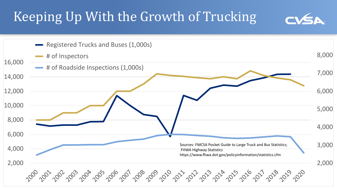#### Keeping Up With the Growth of Trucking



CVSA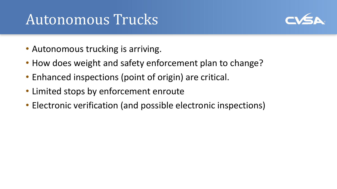#### Autonomous Trucks



- Autonomous trucking is arriving.
- How does weight and safety enforcement plan to change?
- Enhanced inspections (point of origin) are critical.
- Limited stops by enforcement enroute
- Electronic verification (and possible electronic inspections)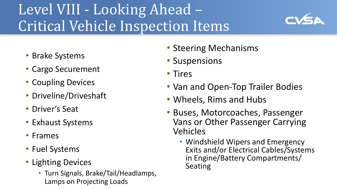# Level VIII - Looking Ahead – Critical Vehicle Inspection Items



- Brake Systems
- Cargo Securement
- Coupling Devices
- Driveline/Driveshaft
- Driver's Seat
- Exhaust Systems
- Frames
- Fuel Systems
- Lighting Devices
	- Turn Signals, Brake/Tail/Headlamps, Lamps on Projecting Loads
- Steering Mechanisms
- Suspensions
- Tires
- Van and Open-Top Trailer Bodies
- Wheels, Rims and Hubs
- Buses, Motorcoaches, Passenger Vans or Other Passenger Carrying Vehicles
	- Windshield Wipers and Emergency Exits and/or Electrical Cables/Systems in Engine/Battery Compartments/ Seating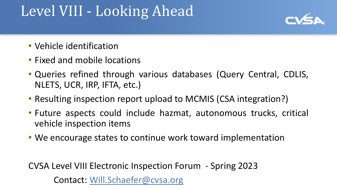### Level VIII - Looking Ahead



- Vehicle identification
- Fixed and mobile locations
- Queries refined through various databases (Query Central, CDLIS, NLETS, UCR, IRP, IFTA, etc.)
- Resulting inspection report upload to MCMIS (CSA integration?)
- Future aspects could include hazmat, autonomous trucks, critical vehicle inspection items
- We encourage states to continue work toward implementation

CVSA Level VIII Electronic Inspection Forum - Spring 2023

Contact: [Will.Schaefer@cvsa.org](mailto:Will.Schaefer@cvsa.org)